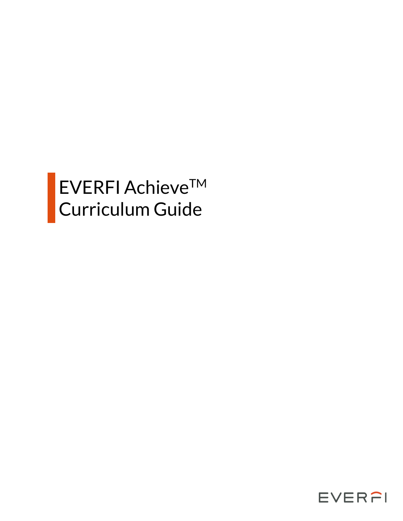# EVERFI AchieveTM Curriculum Guide

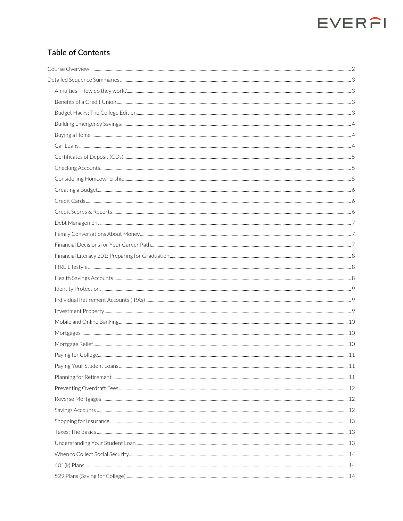### **Table of Contents**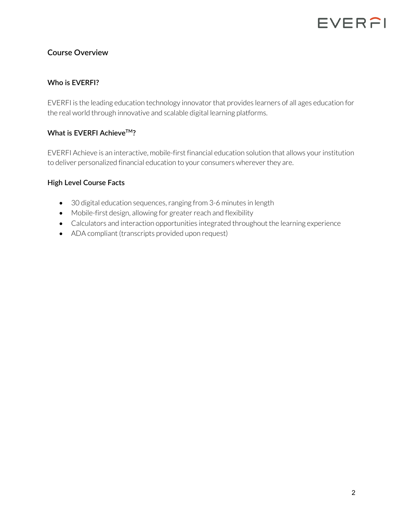#### **Course Overview**

#### **Who is EVERFI?**

EVERFI is the leading education technology innovator that provides learners of all ages education for the real world through innovative and scalable digital learning platforms.

#### **What is EVERFI AchieveTM?**

EVERFI Achieve is an interactive, mobile-first financial education solution that allows your institution to deliver personalized financial education to your consumers wherever they are.

#### **High Level Course Facts**

- 30 digital education sequences, ranging from 3-6 minutes in length
- Mobile-first design, allowing for greater reach and flexibility
- Calculators and interaction opportunities integrated throughout the learning experience
- ADA compliant (transcripts provided upon request)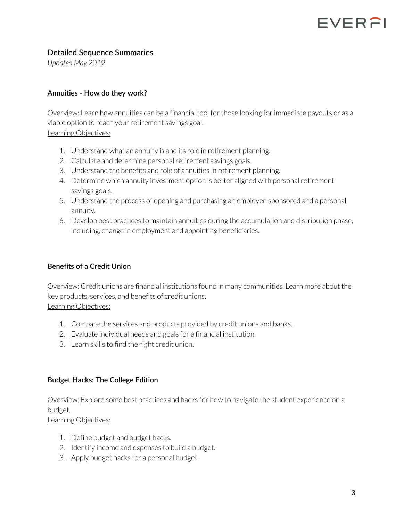### FVERFI

#### **Detailed Sequence Summaries**

*Updated May 2019*

#### **Annuities - How do they work?**

Overview: Learn how annuities can be a financial tool for those looking for immediate payouts or as a viable option to reach your retirement savings goal.

Learning Objectives:

- 1. Understand what an annuity is and its role in retirement planning.
- 2. Calculate and determine personal retirement savings goals.
- 3. Understand the benefits and role of annuities in retirement planning.
- 4. Determine which annuity investment option is better aligned with personal retirement savings goals.
- 5. Understand the process of opening and purchasing an employer-sponsored and a personal annuity.
- 6. Develop best practices to maintain annuities during the accumulation and distribution phase; including, change in employment and appointing beneficiaries.

#### **Benefits of a Credit Union**

Overview: Credit unions are financial institutions found in many communities. Learn more about the key products, services, and benefits of credit unions. Learning Objectives:

- 1. Compare the services and products provided by credit unions and banks.
- 2. Evaluate individual needs and goals for a financial institution.
- 3. Learn skills to find the right credit union.

#### **Budget Hacks: The College Edition**

Overview: Explore some best practices and hacks for how to navigate the student experience on a budget.

- 1. Define budget and budget hacks.
- 2. Identify income and expenses to build a budget.
- 3. Apply budget hacks for a personal budget.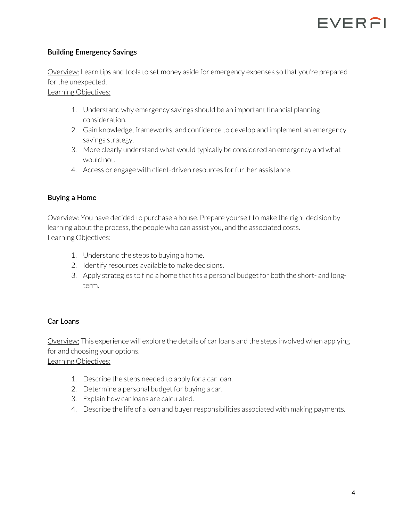

#### **Building Emergency Savings**

Overview: Learn tips and tools to set money aside for emergency expenses so that you're prepared for the unexpected.

Learning Objectives:

- 1. Understand why emergency savings should be an important financial planning consideration.
- 2. Gain knowledge, frameworks, and confidence to develop and implement an emergency savings strategy.
- 3. More clearly understand what would typically be considered an emergency and what would not.
- 4. Access or engage with client-driven resources for further assistance.

#### **Buying a Home**

Overview: You have decided to purchase a house. Prepare yourself to make the right decision by learning about the process, the people who can assist you, and the associated costs. Learning Objectives:

- 1. Understand the steps to buying a home.
- 2. Identify resources available to make decisions.
- 3. Apply strategies to find a home that fits a personal budget for both the short- and longterm.

#### **Car Loans**

Overview: This experience will explore the details of car loans and the steps involved when applying for and choosing your options.

- 1. Describe the steps needed to apply for a car loan.
- 2. Determine a personal budget for buying a car.
- 3. Explain how car loans are calculated.
- 4. Describe the life of a loan and buyer responsibilities associated with making payments.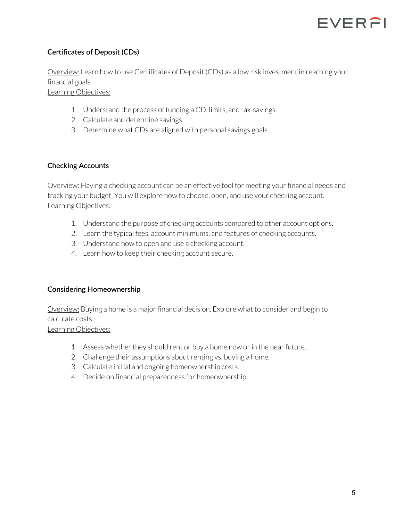

#### **Certificates of Deposit (CDs)**

Overview: Learn how to use Certificates of Deposit (CDs) as a low risk investment in reaching your financial goals.

Learning Objectives:

- 1. Understand the process of funding a CD, limits, and tax-savings.
- 2. Calculate and determine savings.
- 3. Determine what CDs are aligned with personal savings goals.

#### **Checking Accounts**

Overview: Having a checking account can be an effective tool for meeting your financial needs and tracking your budget. You will explore how to choose, open, and use your checking account. Learning Objectives:

- 1. Understand the purpose of checking accounts compared to other account options.
- 2. Learn the typical fees, account minimums, and features of checking accounts.
- 3. Understand how to open and use a checking account.
- 4. Learn how to keep their checking account secure.

#### **Considering Homeownership**

Overview: Buying a home is a major financial decision. Explore what to consider and begin to calculate costs.

- 1. Assess whether they should rent or buy a home now or in the near future.
- 2. Challenge their assumptions about renting vs. buying a home.
- 3. Calculate initial and ongoing homeownership costs.
- 4. Decide on financial preparedness for homeownership.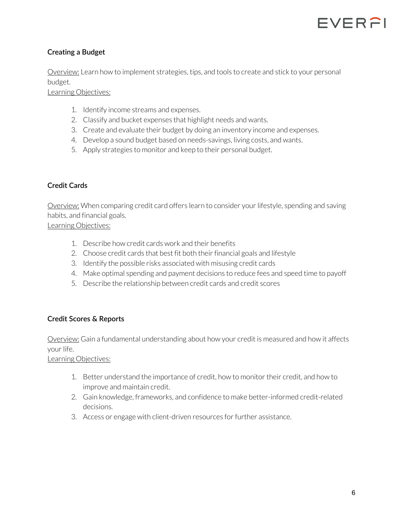

#### **Creating a Budget**

Overview: Learn how to implement strategies, tips, and tools to create and stick to your personal budget.

Learning Objectives:

- 1. Identify income streams and expenses.
- 2. Classify and bucket expenses that highlight needs and wants.
- 3. Create and evaluate their budget by doing an inventory income and expenses.
- 4. Develop a sound budget based on needs-savings, living costs, and wants.
- 5. Apply strategies to monitor and keep to their personal budget.

#### **Credit Cards**

Overview: When comparing credit card offers learn to consider your lifestyle, spending and saving habits, and financial goals.

Learning Objectives:

- 1. Describe how credit cards work and their benefits
- 2. Choose credit cards that best fit both their financial goals and lifestyle
- 3. Identify the possible risks associated with misusing credit cards
- 4. Make optimal spending and payment decisions to reduce fees and speed time to payoff
- 5. Describe the relationship between credit cards and credit scores

#### **Credit Scores & Reports**

Overview: Gain a fundamental understanding about how your credit is measured and how it affects your life.

- 1. Better understand the importance of credit, how to monitor their credit, and how to improve and maintain credit.
- 2. Gain knowledge, frameworks, and confidence to make better-informed credit-related decisions.
- 3. Access or engage with client-driven resources for further assistance.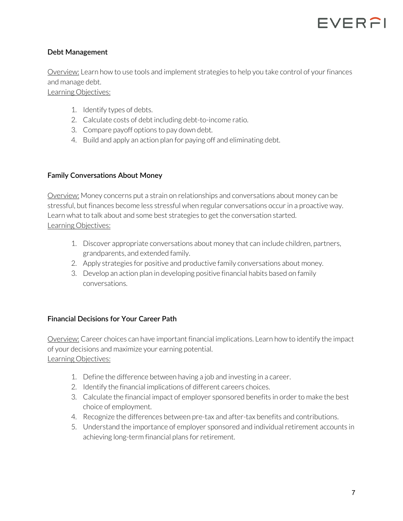

#### **Debt Management**

Overview: Learn how to use tools and implement strategies to help you take control of your finances and manage debt.

Learning Objectives:

- 1. Identify types of debts.
- 2. Calculate costs of debt including debt-to-income ratio.
- 3. Compare payoff options to pay down debt.
- 4. Build and apply an action plan for paying off and eliminating debt.

#### **Family Conversations About Money**

Overview: Money concerns put a strain on relationships and conversations about money can be stressful, but finances become less stressful when regular conversations occur in a proactive way. Learn what to talk about and some best strategies to get the conversation started. Learning Objectives:

- 1. Discover appropriate conversations about money that can include children, partners, grandparents, and extended family.
- 2. Apply strategies for positive and productive family conversations about money.
- 3. Develop an action plan in developing positive financial habits based on family conversations.

#### **Financial Decisions for Your Career Path**

Overview: Career choices can have important financial implications. Learn how to identify the impact of your decisions and maximize your earning potential. Learning Objectives:

- 1. Define the difference between having a job and investing in a career.
- 2. Identify the financial implications of different careers choices.
- 3. Calculate the financial impact of employer sponsored benefits in order to make the best choice of employment.
- 4. Recognize the differences between pre-tax and after-tax benefits and contributions.
- 5. Understand the importance of employer sponsored and individual retirement accounts in achieving long-term financial plans for retirement.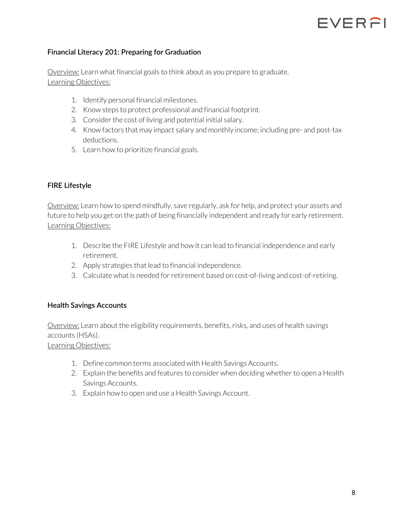## FVERFI

#### **Financial Literacy 201: Preparing for Graduation**

Overview: Learn what financial goals to think about as you prepare to graduate. Learning Objectives:

- 1. Identify personal financial milestones.
- 2. Know steps to protect professional and financial footprint.
- 3. Consider the cost of living and potential initial salary.
- 4. Know factors that may impact salary and monthly income; including pre- and post-tax deductions.
- 5. Learn how to prioritize financial goals.

#### **FIRE Lifestyle**

Overview: Learn how to spend mindfully, save regularly, ask for help, and protect your assets and future to help you get on the path of being financially independent and ready for early retirement. Learning Objectives:

- 1. Describe the FIRE Lifestyle and how it can lead to financial independence and early retirement.
- 2. Apply strategies that lead to financial independence.
- 3. Calculate what is needed for retirement based on cost-of-living and cost-of-retiring.

#### **Health Savings Accounts**

Overview: Learn about the eligibility requirements, benefits, risks, and uses of health savings accounts (HSAs).

- 1. Define common terms associated with Health Savings Accounts.
- 2. Explain the benefits and features to consider when deciding whether to open a Health Savings Accounts.
- 3. Explain how to open and use a Health Savings Account.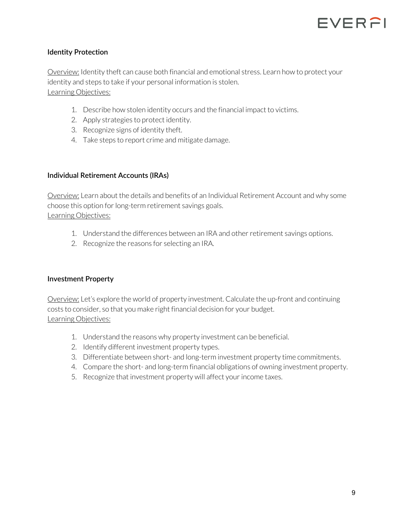

#### **Identity Protection**

Overview: Identity theft can cause both financial and emotional stress. Learn how to protect your identity and steps to take if your personal information is stolen. Learning Objectives:

- 1. Describe how stolen identity occurs and the financial impact to victims.
- 2. Apply strategies to protect identity.
- 3. Recognize signs of identity theft.
- 4. Take steps to report crime and mitigate damage.

#### **Individual Retirement Accounts (IRAs)**

Overview: Learn about the details and benefits of an Individual Retirement Account and why some choose this option for long-term retirement savings goals. Learning Objectives:

- 1. Understand the differences between an IRA and other retirement savings options.
- 2. Recognize the reasons for selecting an IRA.

#### **Investment Property**

Overview: Let's explore the world of property investment. Calculate the up-front and continuing costs to consider, so that you make right financial decision for your budget. Learning Objectives:

- 1. Understand the reasons why property investment can be beneficial.
- 2. Identify different investment property types.
- 3. Differentiate between short- and long-term investment property time commitments.
- 4. Compare the short- and long-term financial obligations of owning investment property.
- 5. Recognize that investment property will affect your income taxes.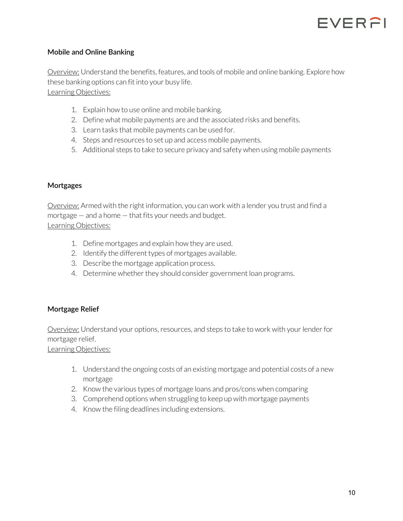

#### **Mobile and Online Banking**

Overview: Understand the benefits, features, and tools of mobile and online banking. Explore how these banking options can fit into your busy life. Learning Objectives:

- 1. Explain how to use online and mobile banking.
- 2. Define what mobile payments are and the associated risks and benefits.
- 3. Learn tasks that mobile payments can be used for.
- 4. Steps and resources to set up and access mobile payments.
- 5. Additional steps to take to secure privacy and safety when using mobile payments

#### **Mortgages**

Overview: Armed with the right information, you can work with a lender you trust and find a mortgage — and a home — that fits your needs and budget. Learning Objectives:

- 1. Define mortgages and explain how they are used.
- 2. Identify the different types of mortgages available.
- 3. Describe the mortgage application process.
- 4. Determine whether they should consider government loan programs.

#### **Mortgage Relief**

Overview: Understand your options, resources, and steps to take to work with your lender for mortgage relief.

- 1. Understand the ongoing costs of an existing mortgage and potential costs of a new mortgage
- 2. Know the various types of mortgage loans and pros/cons when comparing
- 3. Comprehend options when struggling to keep up with mortgage payments
- 4. Know the filing deadlines including extensions.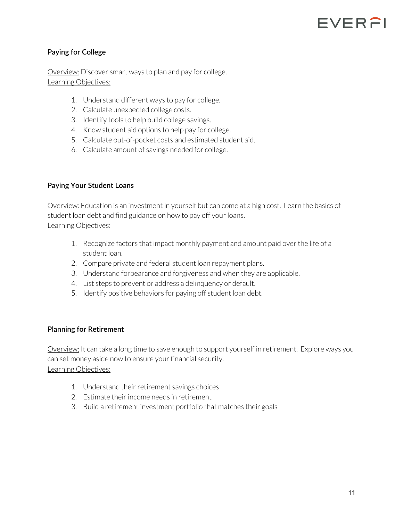## FVERAI

#### **Paying for College**

Overview: Discover smart ways to plan and pay for college. Learning Objectives:

- 1. Understand different ways to pay for college.
- 2. Calculate unexpected college costs.
- 3. Identify tools to help build college savings.
- 4. Know student aid options to help pay for college.
- 5. Calculate out-of-pocket costs and estimated student aid.
- 6. Calculate amount of savings needed for college.

#### **Paying Your Student Loans**

Overview: Education is an investment in yourself but can come at a high cost. Learn the basics of student loan debt and find guidance on how to pay off your loans. Learning Objectives:

- 1. Recognize factors that impact monthly payment and amount paid over the life of a student loan.
- 2. Compare private and federal student loan repayment plans.
- 3. Understand forbearance and forgiveness and when they are applicable.
- 4. List steps to prevent or address a delinquency or default.
- 5. Identify positive behaviors for paying off student loan debt.

#### **Planning for Retirement**

Overview: It can take a long time to save enough to support yourself in retirement. Explore ways you can set money aside now to ensure your financial security. Learning Objectives:

- 1. Understand their retirement savings choices
- 2. Estimate their income needs in retirement
- 3. Build a retirement investment portfolio that matches their goals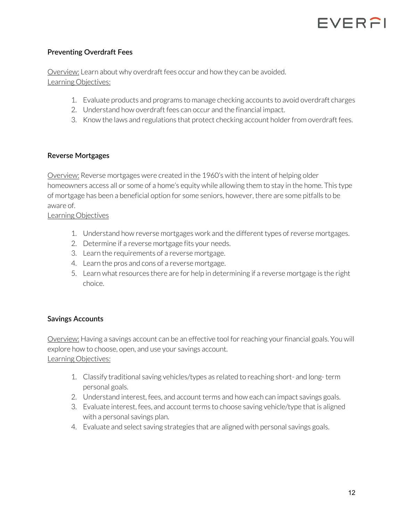#### **Preventing Overdraft Fees**

Overview: Learn about why overdraft fees occur and how they can be avoided. Learning Objectives:

- 1. Evaluate products and programs to manage checking accounts to avoid overdraft charges
- 2. Understand how overdraft fees can occur and the financial impact.
- 3. Know the laws and regulations that protect checking account holder from overdraft fees.

#### **Reverse Mortgages**

Overview: Reverse mortgages were created in the 1960's with the intent of helping older homeowners access all or some of a home's equity while allowing them to stay in the home. This type of mortgage has been a beneficial option for some seniors, however, there are some pitfalls to be aware of.

#### Learning Objectives

- 1. Understand how reverse mortgages work and the different types of reverse mortgages.
- 2. Determine if a reverse mortgage fits your needs.
- 3. Learn the requirements of a reverse mortgage.
- 4. Learn the pros and cons of a reverse mortgage.
- 5. Learn what resources there are for help in determining if a reverse mortgage is the right choice.

#### **Savings Accounts**

Overview: Having a savings account can be an effective tool for reaching your financial goals. You will explore how to choose, open, and use your savings account. Learning Objectives:

- 1. Classify traditional saving vehicles/types as related to reaching short- and long- term personal goals.
- 2. Understand interest, fees, and account terms and how each can impact savings goals.
- 3. Evaluate interest, fees, and account terms to choose saving vehicle/type that is aligned with a personal savings plan.
- 4. Evaluate and select saving strategies that are aligned with personal savings goals.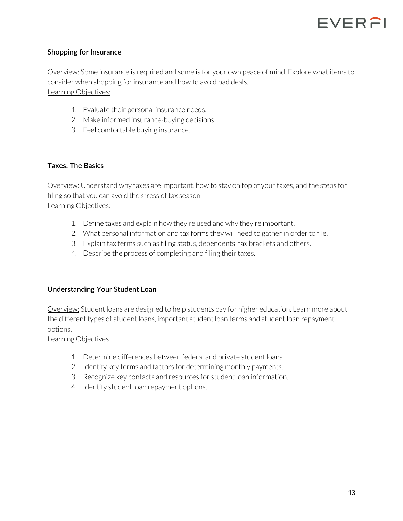

#### **Shopping for Insurance**

Overview: Some insurance is required and some is for your own peace of mind. Explore what items to consider when shopping for insurance and how to avoid bad deals. Learning Objectives:

- 1. Evaluate their personal insurance needs.
- 2. Make informed insurance-buying decisions.
- 3. Feel comfortable buying insurance.

#### **Taxes: The Basics**

Overview: Understand why taxes are important, how to stay on top of your taxes, and the steps for filing so that you can avoid the stress of tax season. Learning Objectives:

- 1. Define taxes and explain how they're used and why they're important.
- 2. What personal information and tax forms they will need to gather in order to file.
- 3. Explain tax terms such as filing status, dependents, tax brackets and others.
- 4. Describe the process of completing and filing their taxes.

#### **Understanding Your Student Loan**

Overview: Student loans are designed to help students pay for higher education. Learn more about the different types of student loans, important student loan terms and student loan repayment options.

- 1. Determine differences between federal and private student loans.
- 2. Identify key terms and factors for determining monthly payments.
- 3. Recognize key contacts and resources for student loan information.
- 4. Identify student loan repayment options.